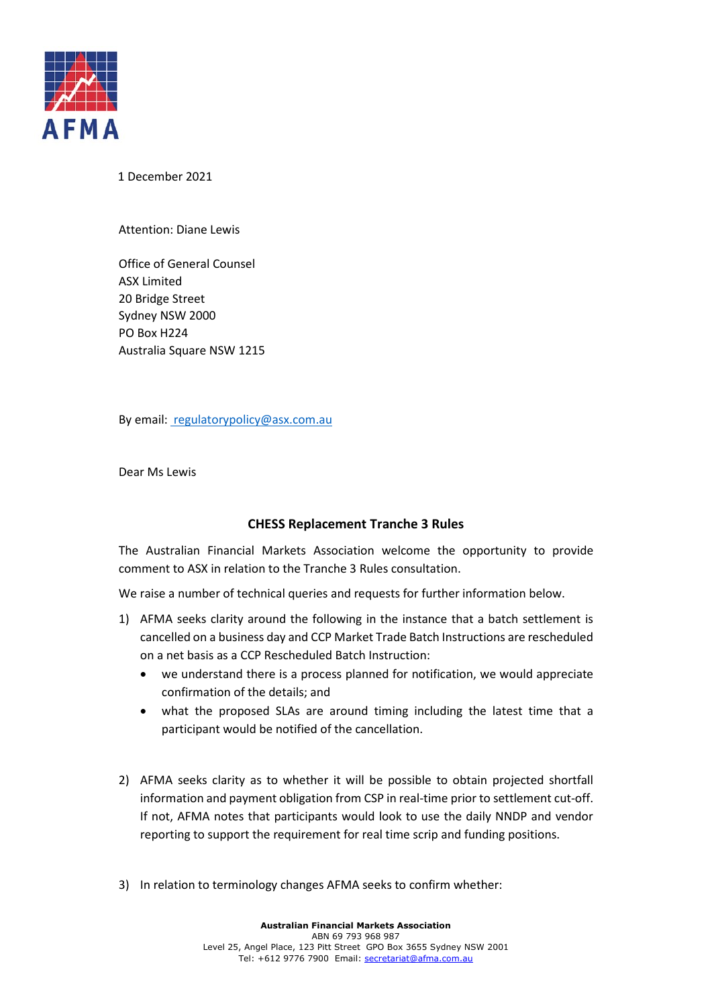

1 December 2021

## Attention: Diane Lewis

Office of General Counsel ASX Limited 20 Bridge Street Sydney NSW 2000 PO Box H224 Australia Square NSW 1215

By email: regulatorypolicy@asx.com.au

Dear Ms Lewis

## **CHESS Replacement Tranche 3 Rules**

The Australian Financial Markets Association welcome the opportunity to provide comment to ASX in relation to the Tranche 3 Rules consultation.

We raise a number of technical queries and requests for further information below.

- 1) AFMA seeks clarity around the following in the instance that a batch settlement is cancelled on a business day and CCP Market Trade Batch Instructions are rescheduled on a net basis as a CCP Rescheduled Batch Instruction:
	- we understand there is a process planned for notification, we would appreciate confirmation of the details; and
	- what the proposed SLAs are around timing including the latest time that a participant would be notified of the cancellation.
- 2) AFMA seeks clarity as to whether it will be possible to obtain projected shortfall information and payment obligation from CSP in real-time prior to settlement cut-off. If not, AFMA notes that participants would look to use the daily NNDP and vendor reporting to support the requirement for real time scrip and funding positions.
- 3) In relation to terminology changes AFMA seeks to confirm whether: